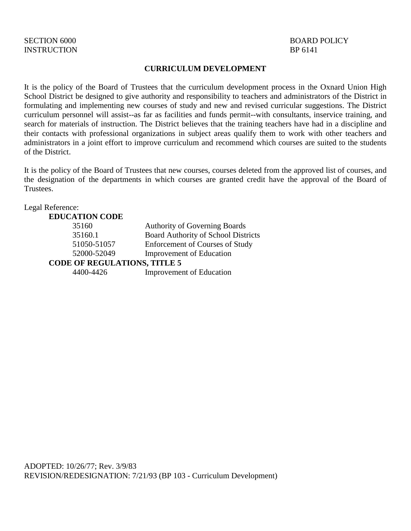# INSTRUCTION BP 6141

# SECTION 6000 BOARD POLICY

#### **CURRICULUM DEVELOPMENT**

It is the policy of the Board of Trustees that the curriculum development process in the Oxnard Union High School District be designed to give authority and responsibility to teachers and administrators of the District in formulating and implementing new courses of study and new and revised curricular suggestions. The District curriculum personnel will assist--as far as facilities and funds permit--with consultants, inservice training, and search for materials of instruction. The District believes that the training teachers have had in a discipline and their contacts with professional organizations in subject areas qualify them to work with other teachers and administrators in a joint effort to improve curriculum and recommend which courses are suited to the students of the District.

It is the policy of the Board of Trustees that new courses, courses deleted from the approved list of courses, and the designation of the departments in which courses are granted credit have the approval of the Board of Trustees.

| <b>Authority of Governing Boards</b>       |  |
|--------------------------------------------|--|
| <b>Board Authority of School Districts</b> |  |
| <b>Enforcement of Courses of Study</b>     |  |
| <b>Improvement of Education</b>            |  |
| <b>CODE OF REGULATIONS, TITLE 5</b>        |  |
| <b>Improvement of Education</b>            |  |
|                                            |  |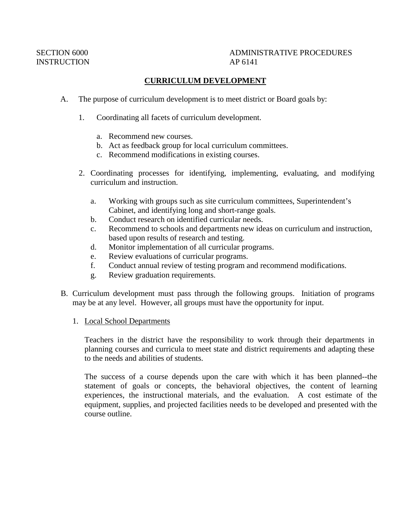# SECTION 6000 ADMINISTRATIVE PROCEDURES

### **CURRICULUM DEVELOPMENT**

- A. The purpose of curriculum development is to meet district or Board goals by:
	- 1. Coordinating all facets of curriculum development.
		- a. Recommend new courses.
		- b. Act as feedback group for local curriculum committees.
		- c. Recommend modifications in existing courses.
	- 2. Coordinating processes for identifying, implementing, evaluating, and modifying curriculum and instruction.
		- a. Working with groups such as site curriculum committees, Superintendent's Cabinet, and identifying long and short-range goals.
		- b. Conduct research on identified curricular needs.
		- c. Recommend to schools and departments new ideas on curriculum and instruction, based upon results of research and testing.
		- d. Monitor implementation of all curricular programs.
		- e. Review evaluations of curricular programs.
		- f. Conduct annual review of testing program and recommend modifications.
		- g. Review graduation requirements.
- B. Curriculum development must pass through the following groups. Initiation of programs may be at any level. However, all groups must have the opportunity for input.
	- 1. Local School Departments

Teachers in the district have the responsibility to work through their departments in planning courses and curricula to meet state and district requirements and adapting these to the needs and abilities of students.

The success of a course depends upon the care with which it has been planned--the statement of goals or concepts, the behavioral objectives, the content of learning experiences, the instructional materials, and the evaluation. A cost estimate of the equipment, supplies, and projected facilities needs to be developed and presented with the course outline.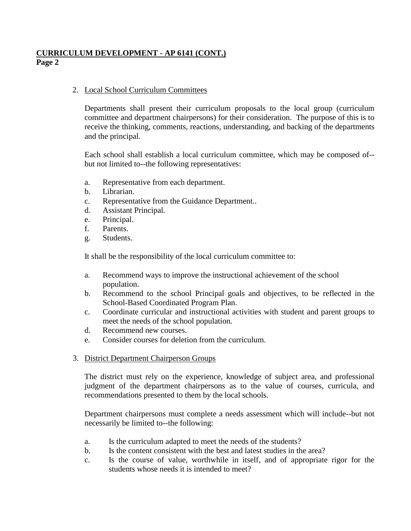## **CURRICULUM DEVELOPMENT - AP 6141 (CONT.) Page 2**

### 2. Local School Curriculum Committees

Departments shall present their curriculum proposals to the local group (curriculum committee and department chairpersons) for their consideration. The purpose of this is to receive the thinking, comments, reactions, understanding, and backing of the departments and the principal.

Each school shall establish a local curriculum committee, which may be composed of- but not limited to--the following representatives:

- a. Representative from each department.
- b. Librarian.
- c. Representative from the Guidance Department..
- d. Assistant Principal.
- e. Principal.
- f. Parents.
- g. Students.

It shall be the responsibility of the local curriculum committee to:

- a. Recommend ways to improve the instructional achievement of the school population.
- b. Recommend to the school Principal goals and objectives, to be reflected in the School-Based Coordinated Program Plan.
- c. Coordinate curricular and instructional activities with student and parent groups to meet the needs of the school population.
- d. Recommend new courses.
- e. Consider courses for deletion from the curriculum.
- 3. District Department Chairperson Groups

The district must rely on the experience, knowledge of subject area, and professional judgment of the department chairpersons as to the value of courses, curricula, and recommendations presented to them by the local schools.

Department chairpersons must complete a needs assessment which will include--but not necessarily be limited to--the following:

- a. Is the curriculum adapted to meet the needs of the students?
- b. Is the content consistent with the best and latest studies in the area?
- c. Is the course of value, worthwhile in itself, and of appropriate rigor for the students whose needs it is intended to meet?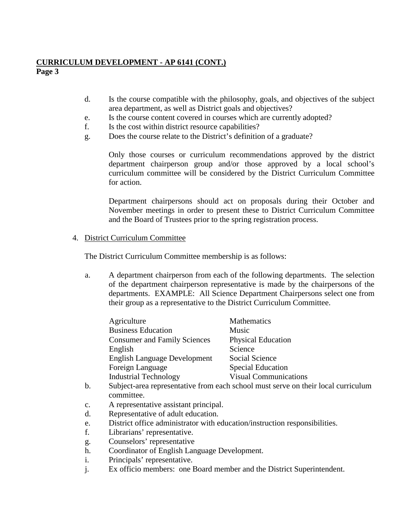# **CURRICULUM DEVELOPMENT - AP 6141 (CONT.)**

**Page 3**

- d. Is the course compatible with the philosophy, goals, and objectives of the subject area department, as well as District goals and objectives?
- e. Is the course content covered in courses which are currently adopted?
- f. Is the cost within district resource capabilities?
- g. Does the course relate to the District's definition of a graduate?

Only those courses or curriculum recommendations approved by the district department chairperson group and/or those approved by a local school's curriculum committee will be considered by the District Curriculum Committee for action.

Department chairpersons should act on proposals during their October and November meetings in order to present these to District Curriculum Committee and the Board of Trustees prior to the spring registration process.

### 4. District Curriculum Committee

The District Curriculum Committee membership is as follows:

a. A department chairperson from each of the following departments. The selection of the department chairperson representative is made by the chairpersons of the departments. EXAMPLE: All Science Department Chairpersons select one from their group as a representative to the District Curriculum Committee.

| Agriculture                         | Mathematics                  |
|-------------------------------------|------------------------------|
| <b>Business Education</b>           | Music                        |
| <b>Consumer and Family Sciences</b> | <b>Physical Education</b>    |
| English                             | Science                      |
| <b>English Language Development</b> | Social Science               |
| Foreign Language                    | <b>Special Education</b>     |
| <b>Industrial Technology</b>        | <b>Visual Communications</b> |
|                                     |                              |

- b. Subject-area representative from each school must serve on their local curriculum committee.
- c. A representative assistant principal.
- d. Representative of adult education.
- e. District office administrator with education/instruction responsibilities.
- f. Librarians' representative.
- g. Counselors' representative
- h. Coordinator of English Language Development.
- i. Principals' representative.
- j. Ex officio members: one Board member and the District Superintendent.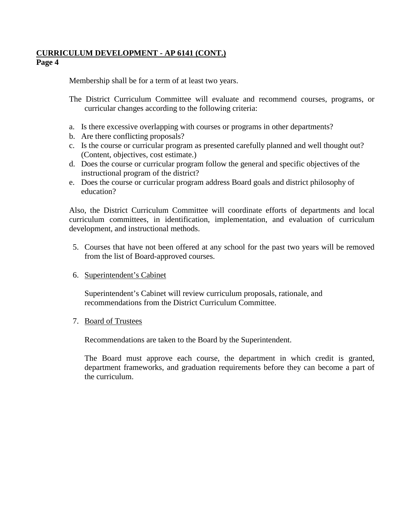## **CURRICULUM DEVELOPMENT - AP 6141 (CONT.) Page 4**

Membership shall be for a term of at least two years.

- The District Curriculum Committee will evaluate and recommend courses, programs, or curricular changes according to the following criteria:
- a. Is there excessive overlapping with courses or programs in other departments?
- b. Are there conflicting proposals?
- c. Is the course or curricular program as presented carefully planned and well thought out? (Content, objectives, cost estimate.)
- d. Does the course or curricular program follow the general and specific objectives of the instructional program of the district?
- e. Does the course or curricular program address Board goals and district philosophy of education?

Also, the District Curriculum Committee will coordinate efforts of departments and local curriculum committees, in identification, implementation, and evaluation of curriculum development, and instructional methods.

- 5. Courses that have not been offered at any school for the past two years will be removed from the list of Board-approved courses.
- 6. Superintendent's Cabinet

Superintendent's Cabinet will review curriculum proposals, rationale, and recommendations from the District Curriculum Committee.

7. Board of Trustees

Recommendations are taken to the Board by the Superintendent.

The Board must approve each course, the department in which credit is granted, department frameworks, and graduation requirements before they can become a part of the curriculum.